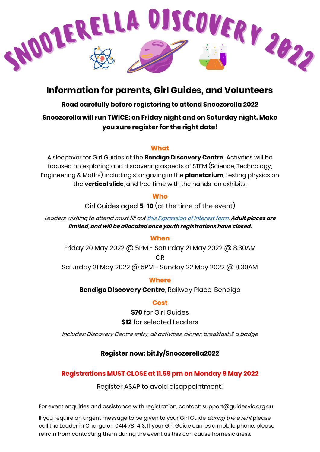

# **Information for parents, Girl Guides, and Volunteers**

## **Read carefully before registering to attend Snoozerella 2022**

## **Snoozerella will run TWICE: on Friday night and on Saturday night. Make you sure register for the right date!**

#### **What**

A sleepover for Girl Guides at the **Bendigo Discovery Centre**! Activities will be focused on exploring and discovering aspects of STEM (Science, Technology, Engineering & Maths) including star gazing in the **planetarium**, testing physics on the **vertical slide**, and free time with the hands-on exhibits.

#### **Who**

Girl Guides aged **5-10** (at the time of the event)

Leaders wishing to attend must fill ou[t this Expression of Interest form.](https://forms.gle/Lfii4VAge9yjEEPA8) **Adult places are limited, and will be allocated once youth registrations have closed.**

#### **When**

Friday 20 May 2022 @ 5PM - Saturday 21 May 2022 @ 8.30AM OR

Saturday 21 May 2022 @ 5PM - Sunday 22 May 2022 @ 8.30AM

#### **Where**

**Bendigo Discovery Centre**, Railway Place, Bendigo

#### **Cost**

**\$70** for Girl Guides **\$12** for selected Leaders

Includes: Discovery Centre entry, all activities, dinner, breakfast & a badge

## **Register now: bit.ly/Snoozerella2022**

## **Registrations MUST CLOSE at 11.59 pm on Monday 9 May 2022**

Register ASAP to avoid disappointment!

For event enquiries and assistance with registration, contact: support@guidesvic.org.au

If you require an urgent message to be given to your Girl Guide *during the event* please call the Leader in Charge on 0414 781 413. If your Girl Guide carries a mobile phone, please refrain from contacting them during the event as this can cause homesickness.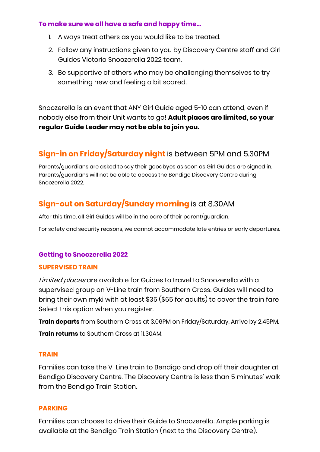#### **To make sure we all have a safe and happy time…**

- 1. Always treat others as you would like to be treated.
- 2. Follow any instructions given to you by Discovery Centre staff and Girl Guides Victoria Snoozerella 2022 team.
- 3. Be supportive of others who may be challenging themselves to try something new and feeling a bit scared.

Snoozerella is an event that ANY Girl Guide aged 5-10 can attend, even if nobody else from their Unit wants to go! **Adult places are limited, so your regular Guide Leader may not be able to join you.**

# **Sign-in on Friday/Saturday night** is between 5PM and 5.30PM

Parents/guardians are asked to say their goodbyes as soon as Girl Guides are signed in. Parents/guardians will not be able to access the Bendigo Discovery Centre during Snoozerella 2022.

## **Sign-out on Saturday/Sunday morning** is at 8.30AM

After this time, all Girl Guides will be in the care of their parent/guardian.

For safety and security reasons, we cannot accommodate late entries or early departures.

## **Getting to Snoozerella 2022**

#### **SUPERVISED TRAIN**

Limited places are available for Guides to travel to Snoozerella with a supervised group on V-Line train from Southern Cross. Guides will need to bring their own myki with at least \$35 (\$65 for adults) to cover the train fare Select this option when you register.

**Train departs** from Southern Cross at 3.06PM on Friday/Saturday. Arrive by 2.45PM. **Train returns** to Southern Cross at 11.30AM.

#### **TRAIN**

Families can take the V-Line train to Bendigo and drop off their daughter at Bendigo Discovery Centre. The Discovery Centre is less than 5 minutes' walk from the Bendigo Train Station.

#### **PARKING**

Families can choose to drive their Guide to Snoozerella. Ample parking is available at the Bendigo Train Station (next to the Discovery Centre).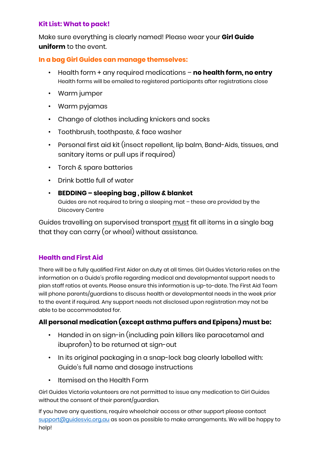#### **Kit List: What to pack!**

Make sure everything is clearly named! Please wear your **Girl Guide uniform** to the event.

### **In a bag Girl Guides can manage themselves:**

- Health form + any required medications **no health form, no entry** Health forms will be emailed to registered participants after registrations close
- Warm jumper
- Warm pyjamas
- Change of clothes including knickers and socks
- Toothbrush, toothpaste, & face washer
- Personal first aid kit (insect repellent, lip balm, Band-Aids, tissues, and sanitary items or pull ups if required)
- Torch & spare batteries
- Drink bottle full of water
- **BEDDING – sleeping bag , pillow & blanket**

Guides are not required to bring a sleeping mat – these are provided by the Discovery Centre

Guides travelling on supervised transport must fit all items in a single bag that they can carry (or wheel) without assistance.

## **Health and First Aid**

There will be a fully qualified First Aider on duty at all times. Girl Guides Victoria relies on the information on a Guide's profile regarding medical and developmental support needs to plan staff ratios at events. Please ensure this information is up-to-date. The First Aid Team will phone parents/guardians to discuss health or developmental needs in the week prior to the event if required. Any support needs not disclosed upon registration may not be able to be accommodated for.

## **All personal medication (except asthma puffers and Epipens) must be:**

- Handed in on sign-in (including pain killers like paracetamol and ibuprofen) to be returned at sign-out
- In its original packaging in a snap-lock bag clearly labelled with: Guide's full name and dosage instructions
- Itemised on the Health Form

Girl Guides Victoria volunteers are not permitted to issue any medication to Girl Guides without the consent of their parent/guardian.

If you have any questions, require wheelchair access or other support please contact [support@guidesvic.org.au](mailto:support@guidesvic.org.au) as soon as possible to make arrangements. We will be happy to help!